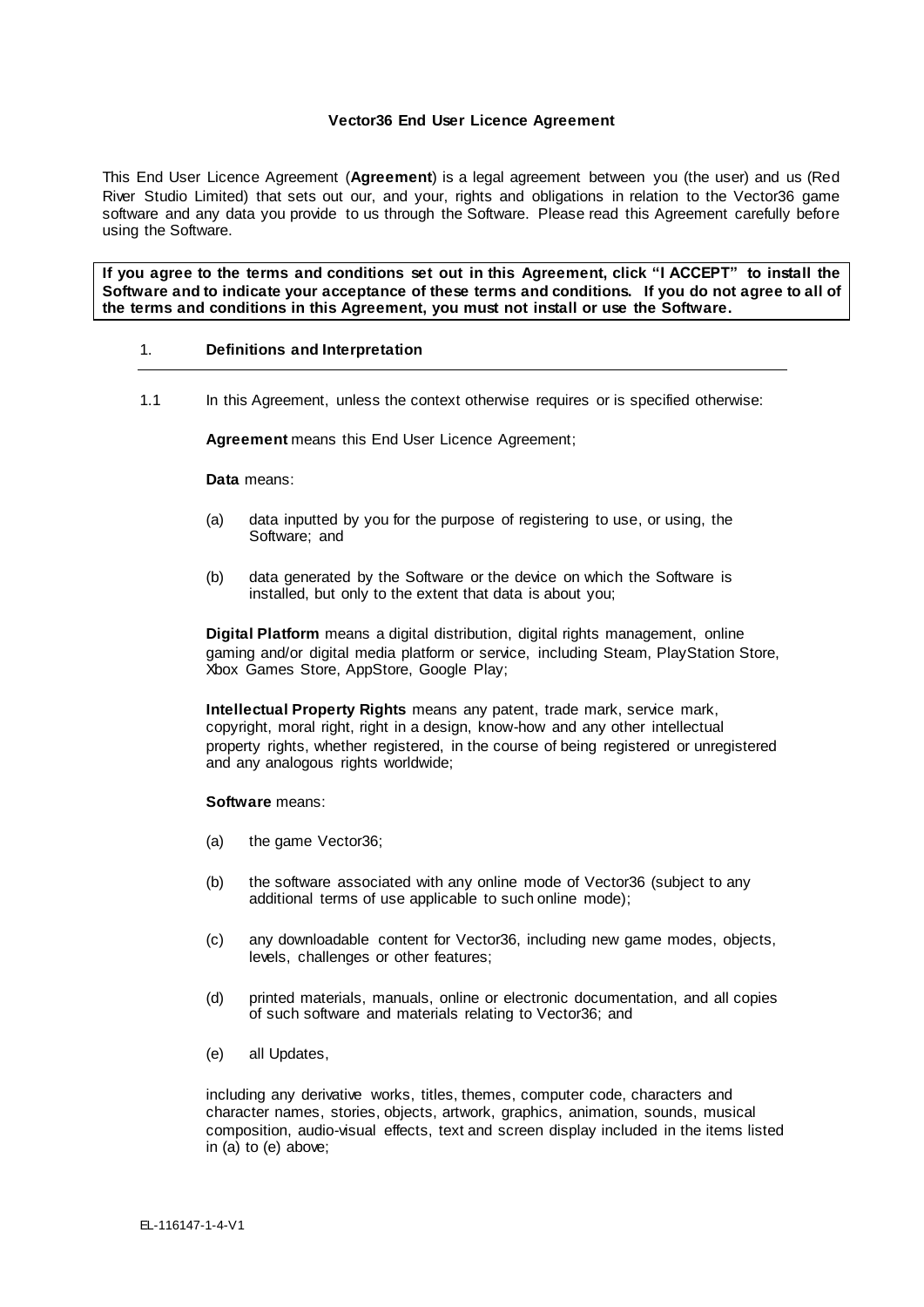## **Vector36 End User Licence Agreement**

This End User Licence Agreement (**Agreement**) is a legal agreement between you (the user) and us (Red River Studio Limited) that sets out our, and your, rights and obligations in relation to the Vector36 game software and any data you provide to us through the Software. Please read this Agreement carefully before using the Software.

**If you agree to the terms and conditions set out in this Agreement, click "I ACCEPT" to install the Software and to indicate your acceptance of these terms and conditions. If you do not agree to all of the terms and conditions in this Agreement, you must not install or use the Software.**

## 1. **Definitions and Interpretation**

1.1 In this Agreement, unless the context otherwise requires or is specified otherwise:

**Agreement** means this End User Licence Agreement;

**Data** means:

- (a) data inputted by you for the purpose of registering to use, or using, the Software; and
- (b) data generated by the Software or the device on which the Software is installed, but only to the extent that data is about you;

**Digital Platform** means a digital distribution, digital rights management, online gaming and/or digital media platform or service, including Steam, PlayStation Store, Xbox Games Store, AppStore, Google Play;

**Intellectual Property Rights** means any patent, trade mark, service mark, copyright, moral right, right in a design, know-how and any other intellectual property rights, whether registered, in the course of being registered or unregistered and any analogous rights worldwide;

#### **Software** means:

- (a) the game Vector36;
- (b) the software associated with any online mode of Vector36 (subject to any additional terms of use applicable to such online mode);
- (c) any downloadable content for Vector36, including new game modes, objects, levels, challenges or other features;
- (d) printed materials, manuals, online or electronic documentation, and all copies of such software and materials relating to Vector36; and
- (e) all Updates,

including any derivative works, titles, themes, computer code, characters and character names, stories, objects, artwork, graphics, animation, sounds, musical composition, audio-visual effects, text and screen display included in the items listed in (a) to (e) above;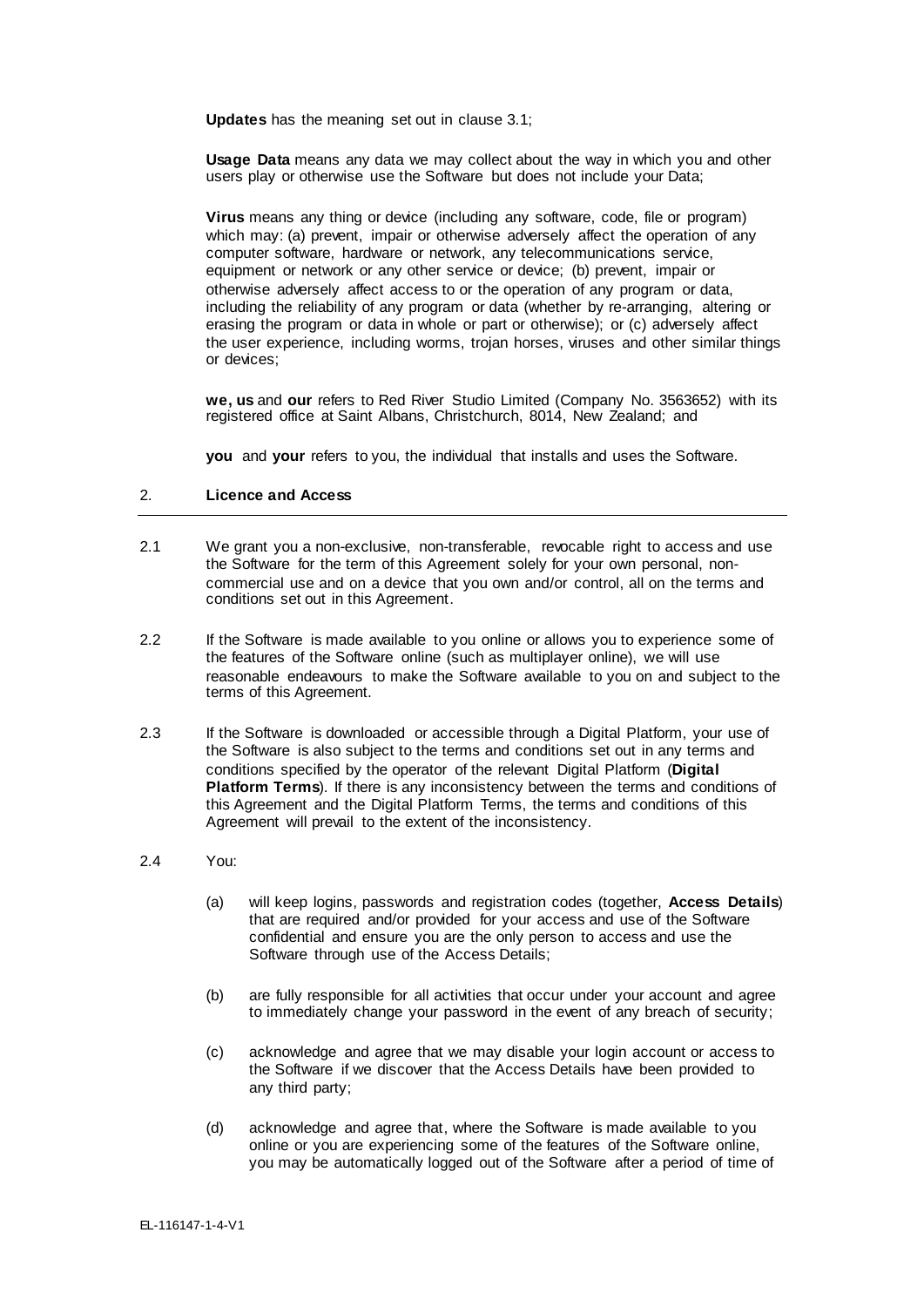**Updates** has the meaning set out in clause 3.1;

**Usage Data** means any data we may collect about the way in which you and other users play or otherwise use the Software but does not include your Data;

**Virus** means any thing or device (including any software, code, file or program) which may: (a) prevent, impair or otherwise adversely affect the operation of any computer software, hardware or network, any telecommunications service, equipment or network or any other service or device; (b) prevent, impair or otherwise adversely affect access to or the operation of any program or data, including the reliability of any program or data (whether by re-arranging, altering or erasing the program or data in whole or part or otherwise); or (c) adversely affect the user experience, including worms, trojan horses, viruses and other similar things or devices;

**we, us** and **our** refers to Red River Studio Limited (Company No. 3563652) with its registered office at Saint Albans, Christchurch, 8014, New Zealand; and

**you** and **your** refers to you, the individual that installs and uses the Software.

## 2. **Licence and Access**

- 2.1 We grant you a non-exclusive, non-transferable, revocable right to access and use the Software for the term of this Agreement solely for your own personal, noncommercial use and on a device that you own and/or control, all on the terms and conditions set out in this Agreement.
- 2.2 If the Software is made available to you online or allows you to experience some of the features of the Software online (such as multiplayer online), we will use reasonable endeavours to make the Software available to you on and subject to the terms of this Agreement.
- 2.3 If the Software is downloaded or accessible through a Digital Platform, your use of the Software is also subject to the terms and conditions set out in any terms and conditions specified by the operator of the relevant Digital Platform (**Digital Platform Terms**). If there is any inconsistency between the terms and conditions of this Agreement and the Digital Platform Terms, the terms and conditions of this Agreement will prevail to the extent of the inconsistency.

## 2.4 You:

- (a) will keep logins, passwords and registration codes (together, **Access Details**) that are required and/or provided for your access and use of the Software confidential and ensure you are the only person to access and use the Software through use of the Access Details;
- (b) are fully responsible for all activities that occur under your account and agree to immediately change your password in the event of any breach of security;
- (c) acknowledge and agree that we may disable your login account or access to the Software if we discover that the Access Details have been provided to any third party;
- (d) acknowledge and agree that, where the Software is made available to you online or you are experiencing some of the features of the Software online, you may be automatically logged out of the Software after a period of time of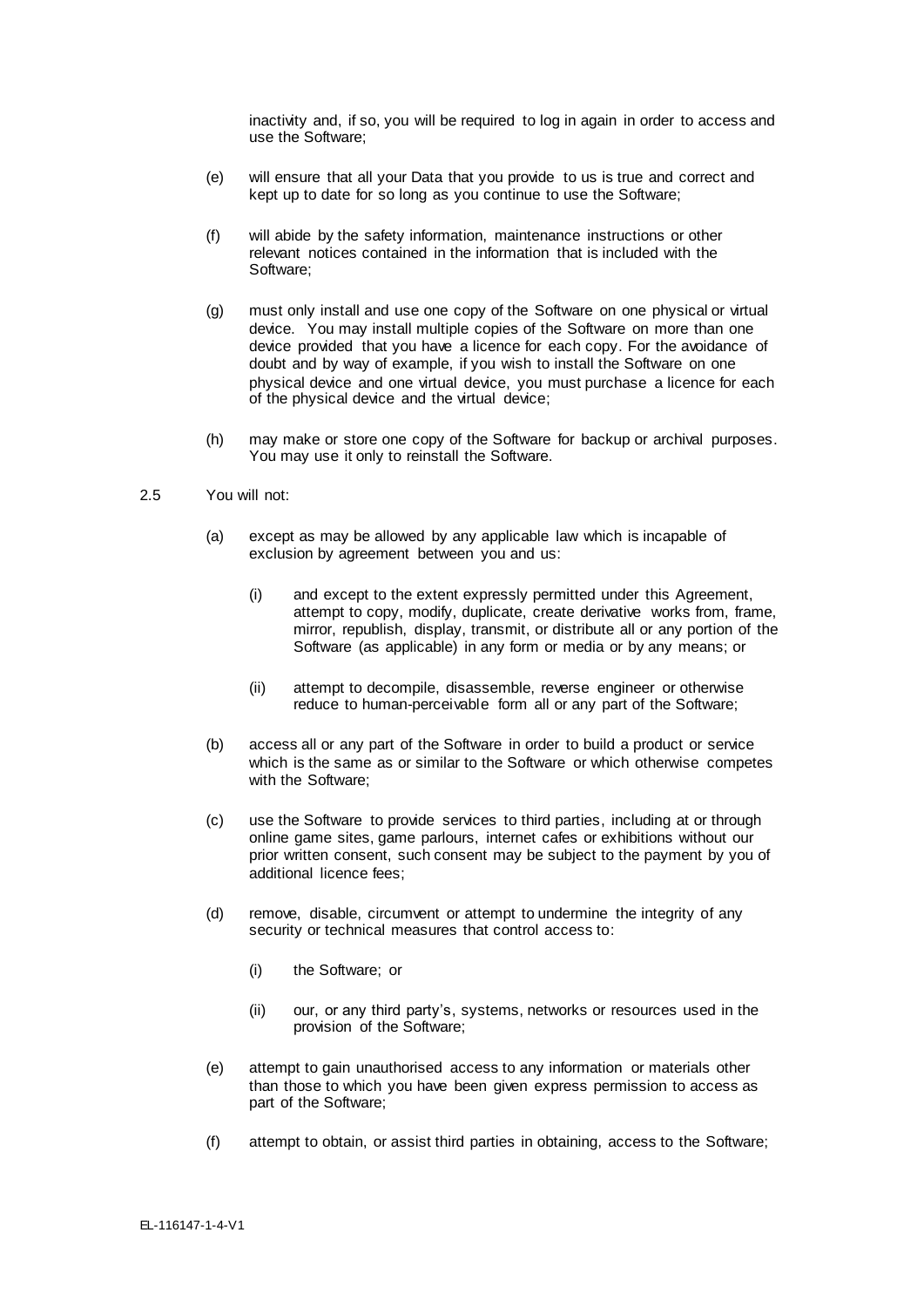inactivity and, if so, you will be required to log in again in order to access and use the Software;

- (e) will ensure that all your Data that you provide to us is true and correct and kept up to date for so long as you continue to use the Software;
- (f) will abide by the safety information, maintenance instructions or other relevant notices contained in the information that is included with the Software;
- (g) must only install and use one copy of the Software on one physical or virtual device. You may install multiple copies of the Software on more than one device provided that you have a licence for each copy. For the avoidance of doubt and by way of example, if you wish to install the Software on one physical device and one virtual device, you must purchase a licence for each of the physical device and the virtual device;
- (h) may make or store one copy of the Software for backup or archival purposes. You may use it only to reinstall the Software.
- 2.5 You will not:
	- (a) except as may be allowed by any applicable law which is incapable of exclusion by agreement between you and us:
		- (i) and except to the extent expressly permitted under this Agreement, attempt to copy, modify, duplicate, create derivative works from, frame, mirror, republish, display, transmit, or distribute all or any portion of the Software (as applicable) in any form or media or by any means; or
		- (ii) attempt to decompile, disassemble, reverse engineer or otherwise reduce to human-perceivable form all or any part of the Software;
	- (b) access all or any part of the Software in order to build a product or service which is the same as or similar to the Software or which otherwise competes with the Software;
	- (c) use the Software to provide services to third parties, including at or through online game sites, game parlours, internet cafes or exhibitions without our prior written consent, such consent may be subject to the payment by you of additional licence fees;
	- (d) remove, disable, circumvent or attempt to undermine the integrity of any security or technical measures that control access to:
		- (i) the Software; or
		- (ii) our, or any third party's, systems, networks or resources used in the provision of the Software;
	- (e) attempt to gain unauthorised access to any information or materials other than those to which you have been given express permission to access as part of the Software;
	- (f) attempt to obtain, or assist third parties in obtaining, access to the Software;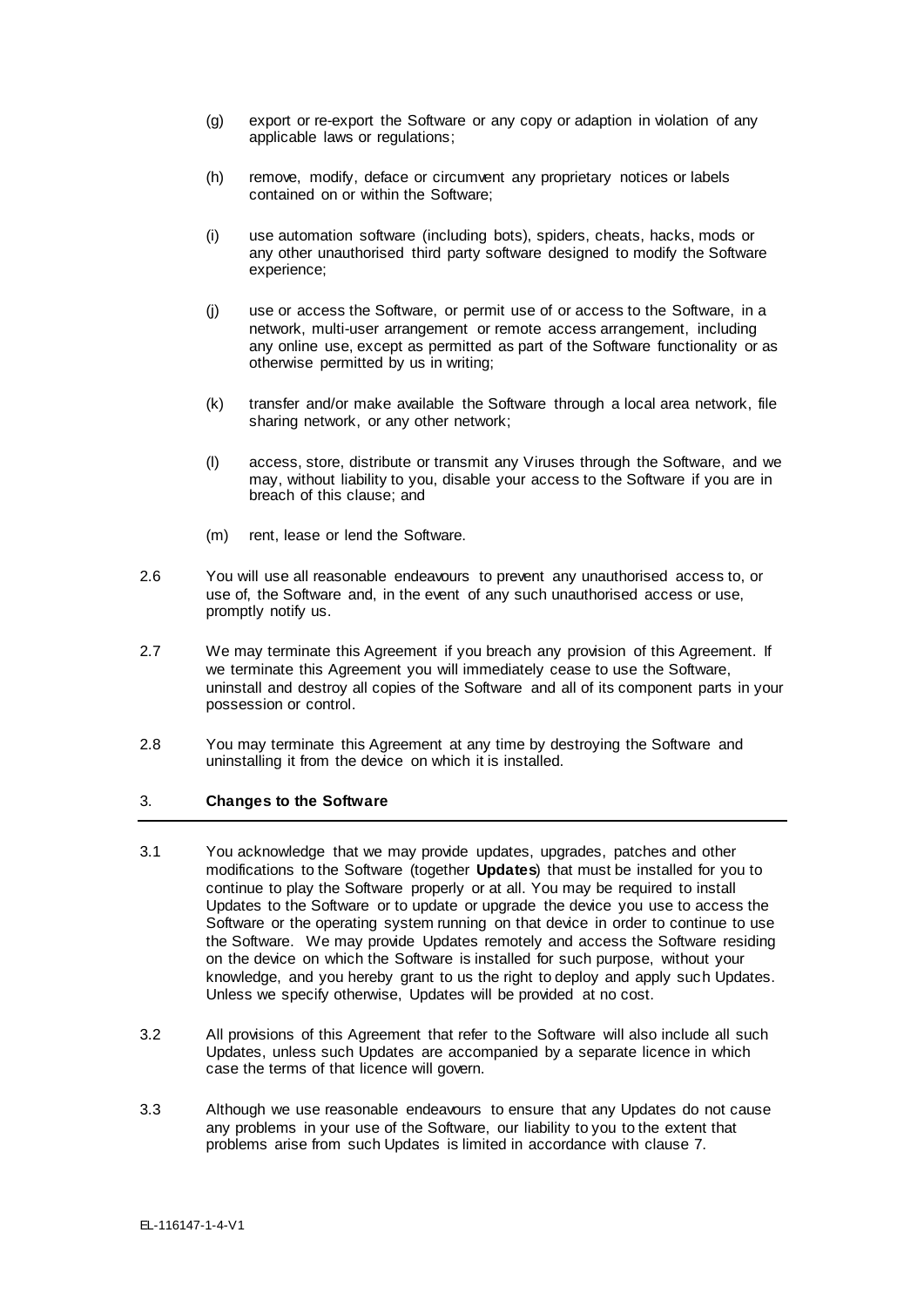- (g) export or re-export the Software or any copy or adaption in violation of any applicable laws or regulations;
- (h) remove, modify, deface or circumvent any proprietary notices or labels contained on or within the Software;
- (i) use automation software (including bots), spiders, cheats, hacks, mods or any other unauthorised third party software designed to modify the Software experience;
- (j) use or access the Software, or permit use of or access to the Software, in a network, multi-user arrangement or remote access arrangement, including any online use, except as permitted as part of the Software functionality or as otherwise permitted by us in writing;
- (k) transfer and/or make available the Software through a local area network, file sharing network, or any other network;
- (l) access, store, distribute or transmit any Viruses through the Software, and we may, without liability to you, disable your access to the Software if you are in breach of this clause; and
- (m) rent, lease or lend the Software.
- 2.6 You will use all reasonable endeavours to prevent any unauthorised access to, or use of, the Software and, in the event of any such unauthorised access or use, promptly notify us.
- 2.7 We may terminate this Agreement if you breach any provision of this Agreement. If we terminate this Agreement you will immediately cease to use the Software, uninstall and destroy all copies of the Software and all of its component parts in your possession or control.
- 2.8 You may terminate this Agreement at any time by destroying the Software and uninstalling it from the device on which it is installed.

## 3. **Changes to the Software**

- 3.1 You acknowledge that we may provide updates, upgrades, patches and other modifications to the Software (together **Updates**) that must be installed for you to continue to play the Software properly or at all. You may be required to install Updates to the Software or to update or upgrade the device you use to access the Software or the operating system running on that device in order to continue to use the Software. We may provide Updates remotely and access the Software residing on the device on which the Software is installed for such purpose, without your knowledge, and you hereby grant to us the right to deploy and apply such Updates. Unless we specify otherwise, Updates will be provided at no cost.
- 3.2 All provisions of this Agreement that refer to the Software will also include all such Updates, unless such Updates are accompanied by a separate licence in which case the terms of that licence will govern.
- 3.3 Although we use reasonable endeavours to ensure that any Updates do not cause any problems in your use of the Software, our liability to you to the extent that problems arise from such Updates is limited in accordance with clause 7.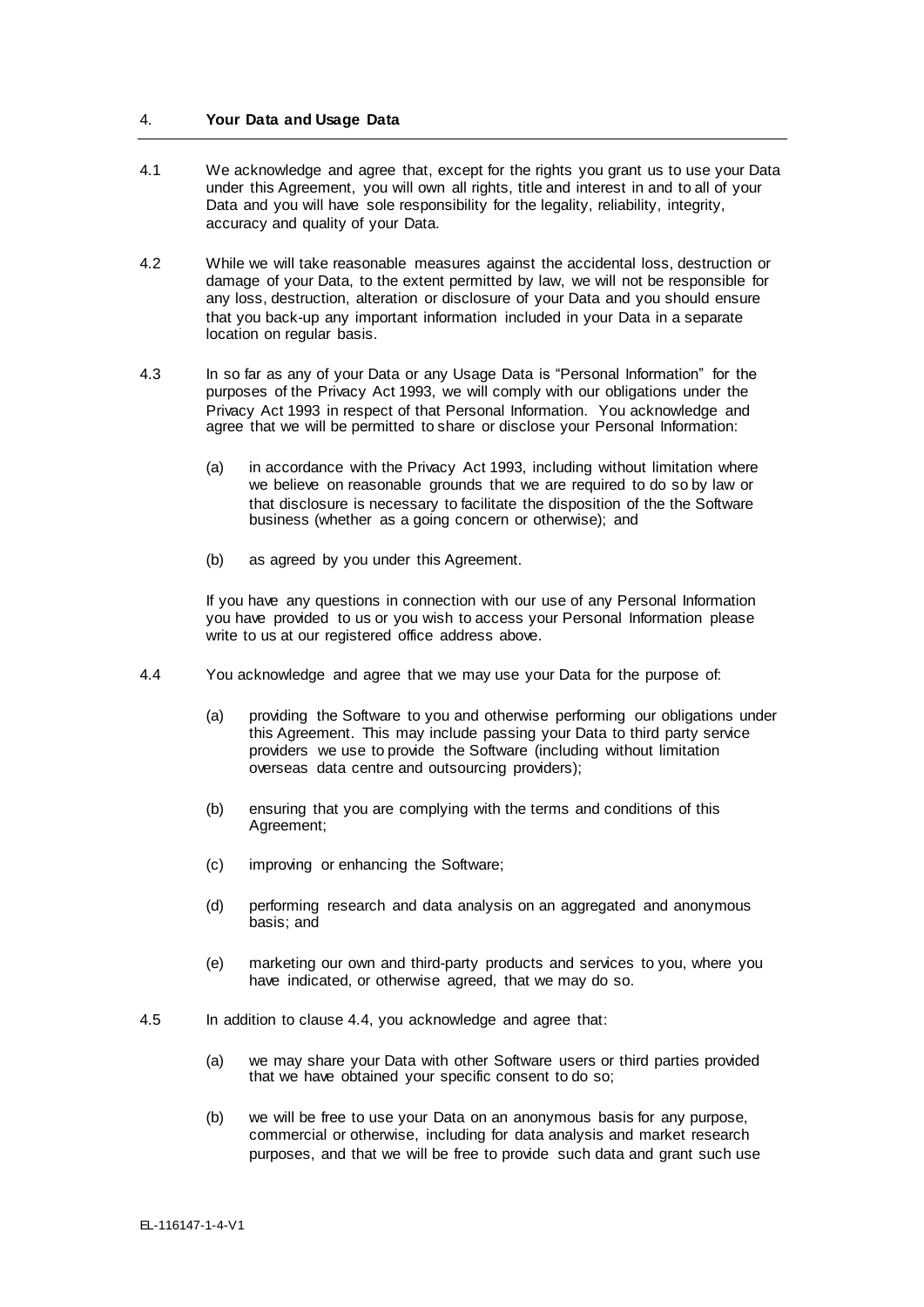### 4. **Your Data and Usage Data**

- 4.1 We acknowledge and agree that, except for the rights you grant us to use your Data under this Agreement, you will own all rights, title and interest in and to all of your Data and you will have sole responsibility for the legality, reliability, integrity, accuracy and quality of your Data.
- 4.2 While we will take reasonable measures against the accidental loss, destruction or damage of your Data, to the extent permitted by law, we will not be responsible for any loss, destruction, alteration or disclosure of your Data and you should ensure that you back-up any important information included in your Data in a separate location on regular basis.
- 4.3 In so far as any of your Data or any Usage Data is "Personal Information" for the purposes of the Privacy Act 1993, we will comply with our obligations under the Privacy Act 1993 in respect of that Personal Information. You acknowledge and agree that we will be permitted to share or disclose your Personal Information:
	- (a) in accordance with the Privacy Act 1993, including without limitation where we believe on reasonable grounds that we are required to do so by law or that disclosure is necessary to facilitate the disposition of the the Software business (whether as a going concern or otherwise); and
	- (b) as agreed by you under this Agreement.

If you have any questions in connection with our use of any Personal Information you have provided to us or you wish to access your Personal Information please write to us at our registered office address above.

- 4.4 You acknowledge and agree that we may use your Data for the purpose of:
	- (a) providing the Software to you and otherwise performing our obligations under this Agreement. This may include passing your Data to third party service providers we use to provide the Software (including without limitation overseas data centre and outsourcing providers);
	- (b) ensuring that you are complying with the terms and conditions of this Agreement;
	- (c) improving or enhancing the Software;
	- (d) performing research and data analysis on an aggregated and anonymous basis; and
	- (e) marketing our own and third-party products and services to you, where you have indicated, or otherwise agreed, that we may do so.
- 4.5 In addition to clause 4.4, you acknowledge and agree that:
	- (a) we may share your Data with other Software users or third parties provided that we have obtained your specific consent to do so;
	- (b) we will be free to use your Data on an anonymous basis for any purpose, commercial or otherwise, including for data analysis and market research purposes, and that we will be free to provide such data and grant such use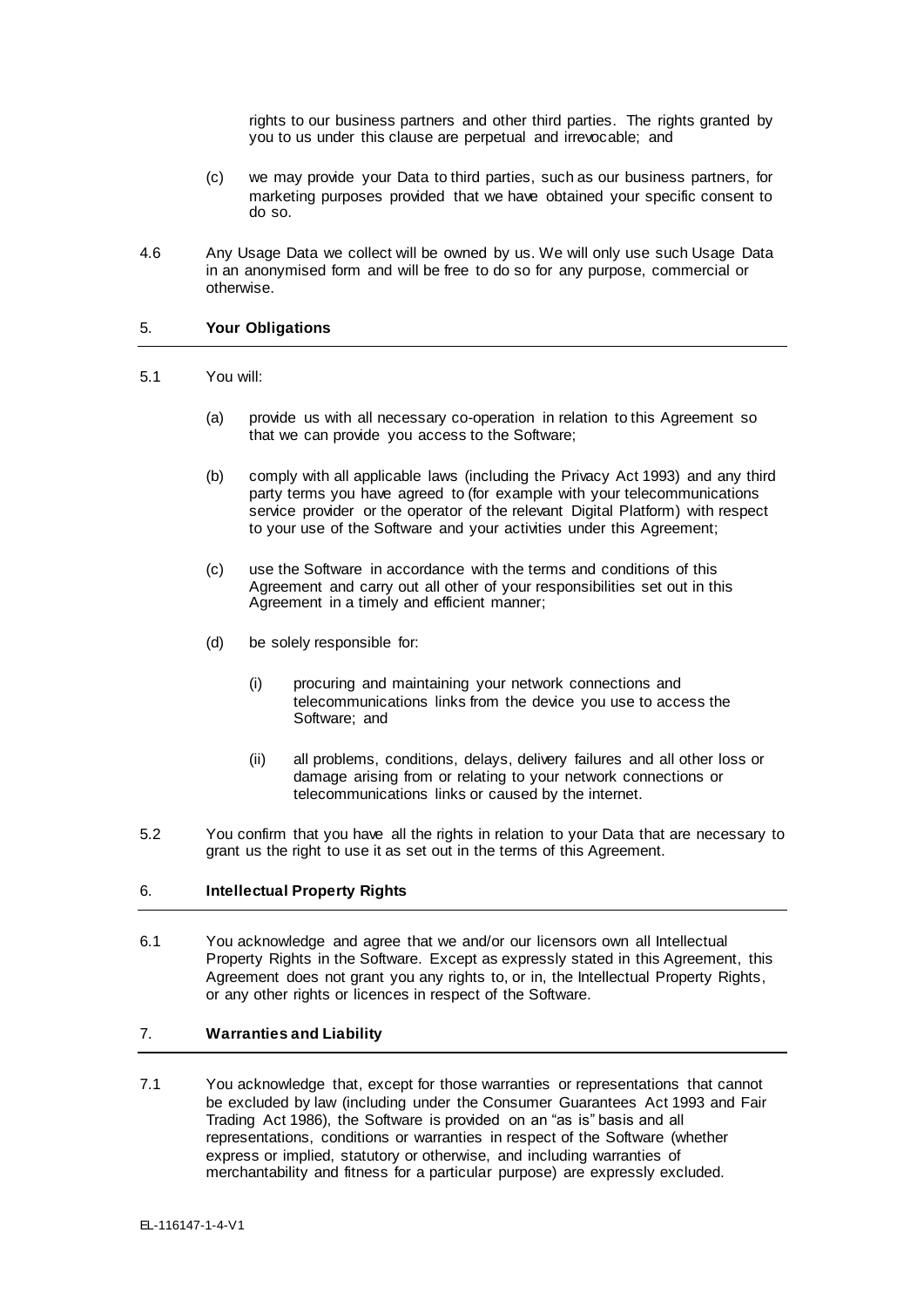rights to our business partners and other third parties. The rights granted by you to us under this clause are perpetual and irrevocable; and

- (c) we may provide your Data to third parties, such as our business partners, for marketing purposes provided that we have obtained your specific consent to do so.
- 4.6 Any Usage Data we collect will be owned by us. We will only use such Usage Data in an anonymised form and will be free to do so for any purpose, commercial or otherwise.

### 5. **Your Obligations**

### 5.1 You will:

- (a) provide us with all necessary co-operation in relation to this Agreement so that we can provide you access to the Software;
- (b) comply with all applicable laws (including the Privacy Act 1993) and any third party terms you have agreed to (for example with your telecommunications service provider or the operator of the relevant Digital Platform) with respect to your use of the Software and your activities under this Agreement;
- (c) use the Software in accordance with the terms and conditions of this Agreement and carry out all other of your responsibilities set out in this Agreement in a timely and efficient manner;
- (d) be solely responsible for:
	- (i) procuring and maintaining your network connections and telecommunications links from the device you use to access the Software; and
	- (ii) all problems, conditions, delays, delivery failures and all other loss or damage arising from or relating to your network connections or telecommunications links or caused by the internet.
- 5.2 You confirm that you have all the rights in relation to your Data that are necessary to grant us the right to use it as set out in the terms of this Agreement.

# 6. **Intellectual Property Rights**

6.1 You acknowledge and agree that we and/or our licensors own all Intellectual Property Rights in the Software. Except as expressly stated in this Agreement, this Agreement does not grant you any rights to, or in, the Intellectual Property Rights, or any other rights or licences in respect of the Software.

# 7. **Warranties and Liability**

7.1 You acknowledge that, except for those warranties or representations that cannot be excluded by law (including under the Consumer Guarantees Act 1993 and Fair Trading Act 1986), the Software is provided on an "as is" basis and all representations, conditions or warranties in respect of the Software (whether express or implied, statutory or otherwise, and including warranties of merchantability and fitness for a particular purpose) are expressly excluded.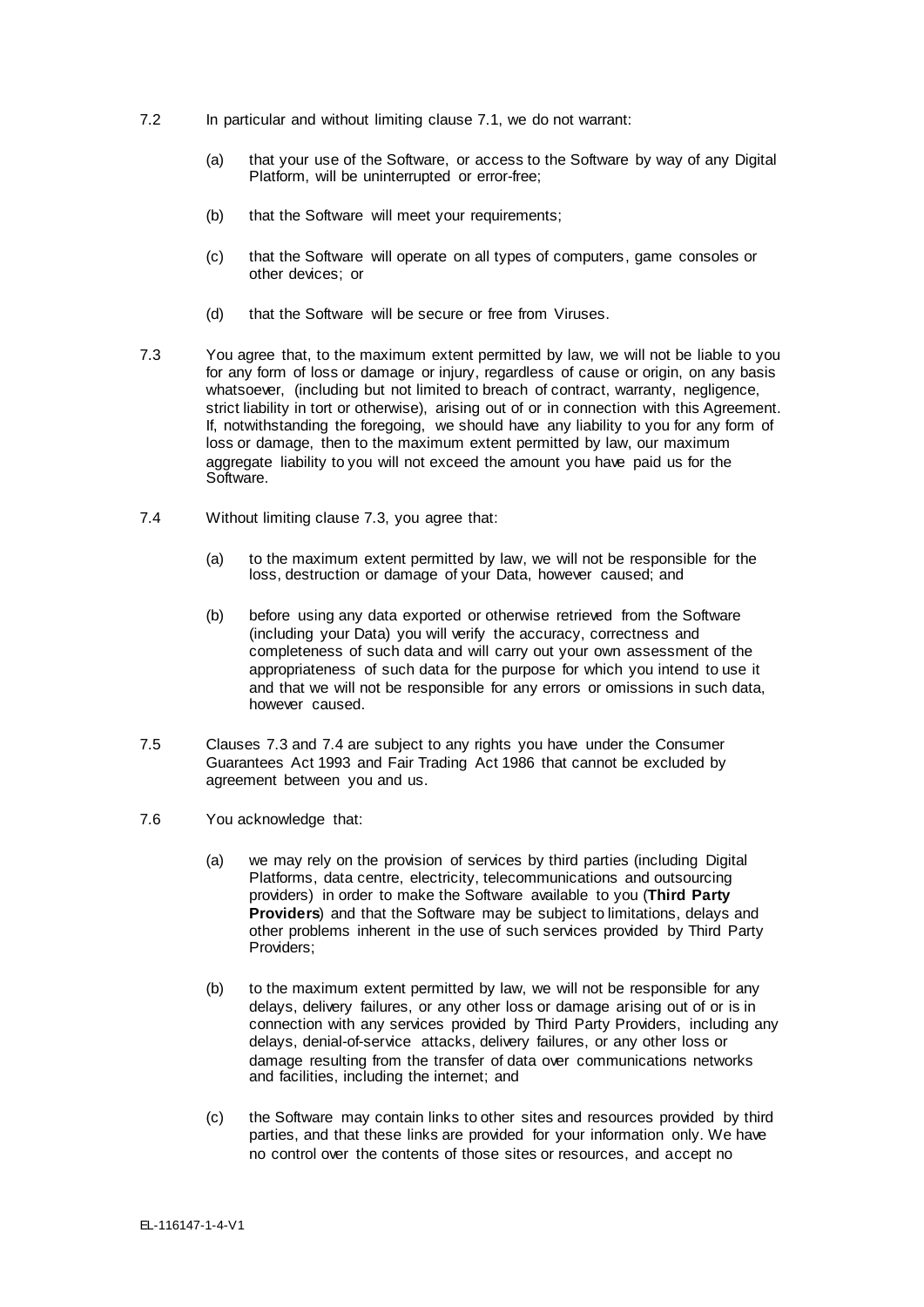- 7.2 In particular and without limiting clause 7.1, we do not warrant:
	- (a) that your use of the Software, or access to the Software by way of any Digital Platform, will be uninterrupted or error-free;
	- (b) that the Software will meet your requirements;
	- (c) that the Software will operate on all types of computers, game consoles or other devices; or
	- (d) that the Software will be secure or free from Viruses.
- 7.3 You agree that, to the maximum extent permitted by law, we will not be liable to you for any form of loss or damage or injury, regardless of cause or origin, on any basis whatsoever, (including but not limited to breach of contract, warranty, negligence, strict liability in tort or otherwise), arising out of or in connection with this Agreement. If, notwithstanding the foregoing, we should have any liability to you for any form of loss or damage, then to the maximum extent permitted by law, our maximum aggregate liability to you will not exceed the amount you have paid us for the Software.
- 7.4 Without limiting clause 7.3, you agree that:
	- (a) to the maximum extent permitted by law, we will not be responsible for the loss, destruction or damage of your Data, however caused; and
	- (b) before using any data exported or otherwise retrieved from the Software (including your Data) you will verify the accuracy, correctness and completeness of such data and will carry out your own assessment of the appropriateness of such data for the purpose for which you intend to use it and that we will not be responsible for any errors or omissions in such data, however caused.
- 7.5 Clauses 7.3 and 7.4 are subject to any rights you have under the Consumer Guarantees Act 1993 and Fair Trading Act 1986 that cannot be excluded by agreement between you and us.
- 7.6 You acknowledge that:
	- (a) we may rely on the provision of services by third parties (including Digital Platforms, data centre, electricity, telecommunications and outsourcing providers) in order to make the Software available to you (**Third Party Providers**) and that the Software may be subject to limitations, delays and other problems inherent in the use of such services provided by Third Party Providers;
	- (b) to the maximum extent permitted by law, we will not be responsible for any delays, delivery failures, or any other loss or damage arising out of or is in connection with any services provided by Third Party Providers, including any delays, denial-of-service attacks, delivery failures, or any other loss or damage resulting from the transfer of data over communications networks and facilities, including the internet; and
	- (c) the Software may contain links to other sites and resources provided by third parties, and that these links are provided for your information only. We have no control over the contents of those sites or resources, and accept no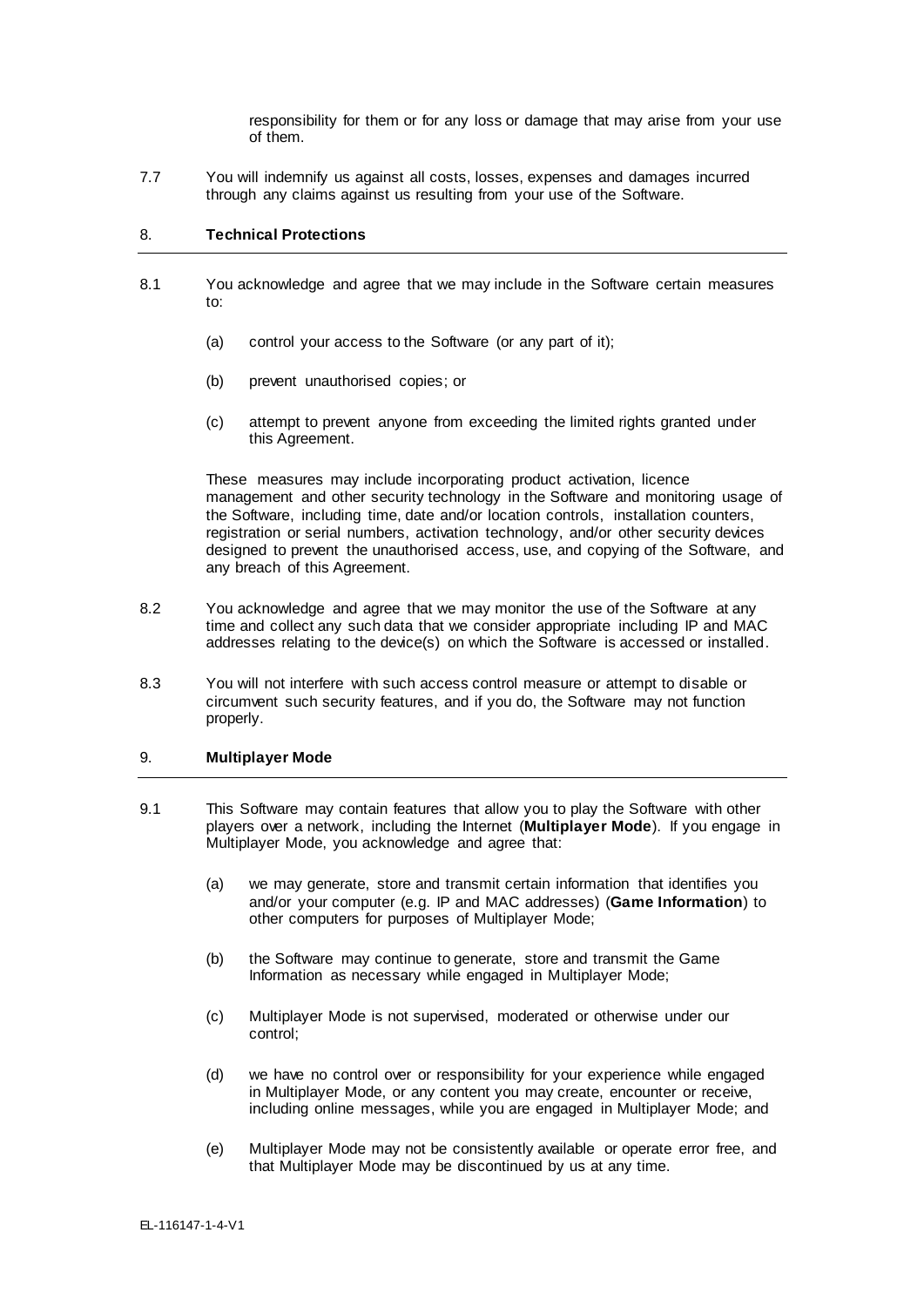responsibility for them or for any loss or damage that may arise from your use of them.

7.7 You will indemnify us against all costs, losses, expenses and damages incurred through any claims against us resulting from your use of the Software.

### 8. **Technical Protections**

- 8.1 You acknowledge and agree that we may include in the Software certain measures to:
	- (a) control your access to the Software (or any part of it);
	- (b) prevent unauthorised copies; or
	- (c) attempt to prevent anyone from exceeding the limited rights granted under this Agreement.

These measures may include incorporating product activation, licence management and other security technology in the Software and monitoring usage of the Software, including time, date and/or location controls, installation counters, registration or serial numbers, activation technology, and/or other security devices designed to prevent the unauthorised access, use, and copying of the Software, and any breach of this Agreement.

- 8.2 You acknowledge and agree that we may monitor the use of the Software at any time and collect any such data that we consider appropriate including IP and MAC addresses relating to the device(s) on which the Software is accessed or installed.
- 8.3 You will not interfere with such access control measure or attempt to disable or circumvent such security features, and if you do, the Software may not function properly.

## 9. **Multiplayer Mode**

- 9.1 This Software may contain features that allow you to play the Software with other players over a network, including the Internet (**Multiplayer Mode**). If you engage in Multiplayer Mode, you acknowledge and agree that:
	- (a) we may generate, store and transmit certain information that identifies you and/or your computer (e.g. IP and MAC addresses) (**Game Information**) to other computers for purposes of Multiplayer Mode;
	- (b) the Software may continue to generate, store and transmit the Game Information as necessary while engaged in Multiplayer Mode;
	- (c) Multiplayer Mode is not supervised, moderated or otherwise under our control;
	- (d) we have no control over or responsibility for your experience while engaged in Multiplayer Mode, or any content you may create, encounter or receive, including online messages, while you are engaged in Multiplayer Mode; and
	- (e) Multiplayer Mode may not be consistently available or operate error free, and that Multiplayer Mode may be discontinued by us at any time.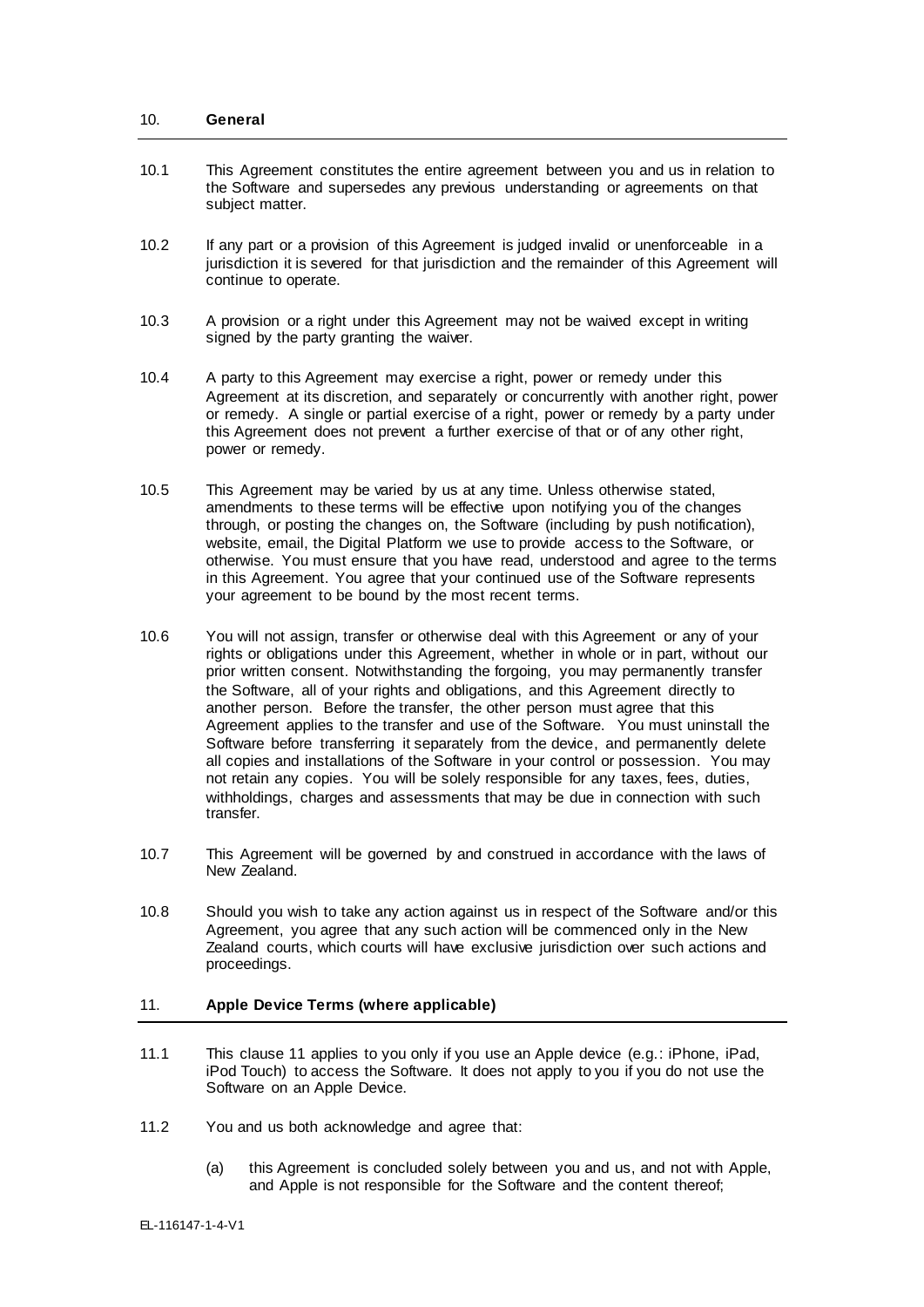#### 10. **General**

- 10.1 This Agreement constitutes the entire agreement between you and us in relation to the Software and supersedes any previous understanding or agreements on that subject matter.
- 10.2 If any part or a provision of this Agreement is judged invalid or unenforceable in a jurisdiction it is severed for that jurisdiction and the remainder of this Agreement will continue to operate.
- 10.3 A provision or a right under this Agreement may not be waived except in writing signed by the party granting the waiver.
- 10.4 A party to this Agreement may exercise a right, power or remedy under this Agreement at its discretion, and separately or concurrently with another right, power or remedy. A single or partial exercise of a right, power or remedy by a party under this Agreement does not prevent a further exercise of that or of any other right, power or remedy.
- 10.5 This Agreement may be varied by us at any time. Unless otherwise stated, amendments to these terms will be effective upon notifying you of the changes through, or posting the changes on, the Software (including by push notification), website, email, the Digital Platform we use to provide access to the Software, or otherwise. You must ensure that you have read, understood and agree to the terms in this Agreement. You agree that your continued use of the Software represents your agreement to be bound by the most recent terms.
- 10.6 You will not assign, transfer or otherwise deal with this Agreement or any of your rights or obligations under this Agreement, whether in whole or in part, without our prior written consent. Notwithstanding the forgoing, you may permanently transfer the Software, all of your rights and obligations, and this Agreement directly to another person. Before the transfer, the other person must agree that this Agreement applies to the transfer and use of the Software. You must uninstall the Software before transferring it separately from the device, and permanently delete all copies and installations of the Software in your control or possession. You may not retain any copies. You will be solely responsible for any taxes, fees, duties, withholdings, charges and assessments that may be due in connection with such transfer.
- 10.7 This Agreement will be governed by and construed in accordance with the laws of New Zealand.
- 10.8 Should you wish to take any action against us in respect of the Software and/or this Agreement, you agree that any such action will be commenced only in the New Zealand courts, which courts will have exclusive jurisdiction over such actions and proceedings.

## 11. **Apple Device Terms (where applicable)**

- 11.1 This clause 11 applies to you only if you use an Apple device (e.g.: iPhone, iPad, iPod Touch) to access the Software. It does not apply to you if you do not use the Software on an Apple Device.
- 11.2 You and us both acknowledge and agree that:
	- (a) this Agreement is concluded solely between you and us, and not with Apple, and Apple is not responsible for the Software and the content thereof;